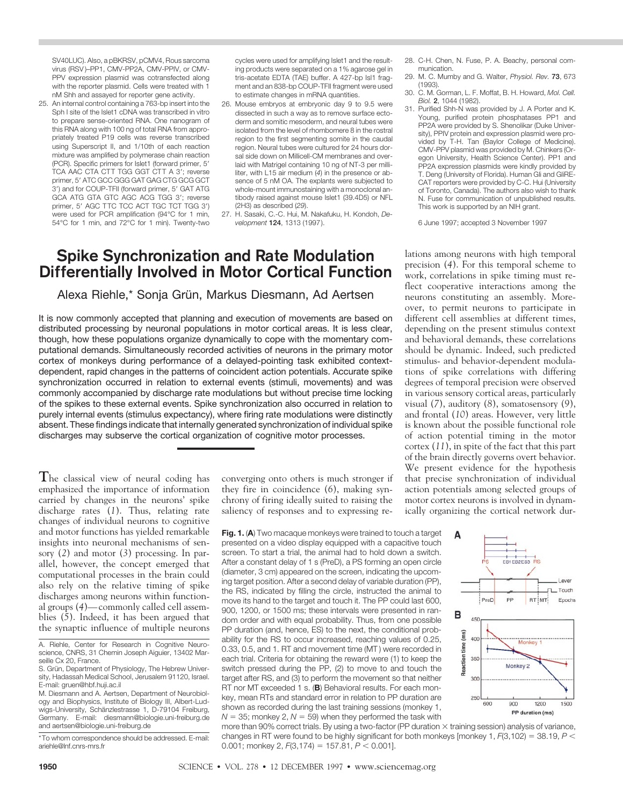SV40LUC). Also, a pBKRSV, pCMV4, Rous sarcoma virus (RSV )–PP1, CMV-PP2A, CMV-PPIV, or CMV-PPV expression plasmid was cotransfected along with the reporter plasmid. Cells were treated with 1 nM Shh and assayed for reporter gene activity.

25. An internal control containing a 763-bp insert into the Sph I site of the Islet1 cDNA was transcribed in vitro to prepare sense-oriented RNA. One nanogram of this RNA along with 100 ng of total RNA from appropriately treated P19 cells was reverse transcribed using Superscript II, and 1/10th of each reaction mixture was amplified by polymerase chain reaction (PCR). Specific primers for Islet1 (forward primer, 5' TCA AAC CTA CTT TGG GGT CTT A 3'; reverse primer, 5' ATC GCC GGG GAT GAG CTG GCG GCT 3') and for COUP-TFII (forward primer, 5' GAT ATG GCA ATG GTA GTC AGC ACG TGG 3'; reverse primer, 5' AGC TTC TCC ACT TGC TCT TGG 3') were used for PCR amplification (94°C for 1 min, 54°C for 1 min, and 72°C for 1 min). Twenty-two cycles were used for amplifying Islet1 and the resulting products were separated on a 1% agarose gel in tris-acetate EDTA (TAE) buffer. A 427-bp Isl1 fragment and an 838-bp COUP-TFII fragment were used to estimate changes in mRNA quantities.

- 26. Mouse embryos at embryonic day 9 to 9.5 were dissected in such a way as to remove surface ectoderm and somitic mesoderm, and neural tubes were isolated from the level of rhombomere 8 in the rostral region to the first segmenting somite in the caudal region. Neural tubes were cultured for 24 hours dorsal side down on Millicell-CM membranes and overlaid with Matrigel containing 10 ng of NT-3 per milliliter, with L15 air medium (*4*) in the presence or absence of 5 nM OA. The explants were subjected to whole-mount immunostaining with a monoclonal antibody raised against mouse Islet1 (39.4D5) or NFL (2H3) as described (*29*).
- 27. H. Sasaki, C.-C. Hui, M. Nakafuku, H. Kondoh, *Development* **124**, 1313 (1997).

## **Spike Synchronization and Rate Modulation Differentially Involved in Motor Cortical Function**

Alexa Riehle,\* Sonja Grün, Markus Diesmann, Ad Aertsen

It is now commonly accepted that planning and execution of movements are based on distributed processing by neuronal populations in motor cortical areas. It is less clear, though, how these populations organize dynamically to cope with the momentary computational demands. Simultaneously recorded activities of neurons in the primary motor cortex of monkeys during performance of a delayed-pointing task exhibited contextdependent, rapid changes in the patterns of coincident action potentials. Accurate spike synchronization occurred in relation to external events (stimuli, movements) and was commonly accompanied by discharge rate modulations but without precise time locking of the spikes to these external events. Spike synchronization also occurred in relation to purely internal events (stimulus expectancy), where firing rate modulations were distinctly absent. These findings indicate that internally generated synchronization of individual spike discharges may subserve the cortical organization of cognitive motor processes.

**T**he classical view of neural coding has emphasized the importance of information carried by changes in the neurons' spike discharge rates (*1*). Thus, relating rate changes of individual neurons to cognitive and motor functions has yielded remarkable insights into neuronal mechanisms of sensory (*2*) and motor (*3*) processing. In parallel, however, the concept emerged that computational processes in the brain could also rely on the relative timing of spike discharges among neurons within functional groups (*4*)—commonly called cell assemblies (*5*). Indeed, it has been argued that the synaptic influence of multiple neurons

converging onto others is much stronger if they fire in coincidence (*6*), making synchrony of firing ideally suited to raising the saliency of responses and to expressing re-

**Fig. 1.** (**A**) Two macaque monkeys were trained to touch a target presented on a video display equipped with a capacitive touch screen. To start a trial, the animal had to hold down a switch. After a constant delay of 1 s (PreD), a PS forming an open circle (diameter, 3 cm) appeared on the screen, indicating the upcoming target position. After a second delay of variable duration (PP), the RS, indicated by filling the circle, instructed the animal to move its hand to the target and touch it. The PP could last 600, 900, 1200, or 1500 ms; these intervals were presented in random order and with equal probability. Thus, from one possible PP duration (and, hence, ES) to the next, the conditional probability for the RS to occur increased, reaching values of 0.25, 0.33, 0.5, and 1. RT and movement time (MT ) were recorded in each trial. Criteria for obtaining the reward were (1) to keep the switch pressed during the PP, (2) to move to and touch the target after RS, and (3) to perform the movement so that neither RT nor MT exceeded 1 s. (**B**) Behavioral results. For each monkey, mean RTs and standard error in relation to PP duration are shown as recorded during the last training sessions (monkey 1,  $N = 35$ ; monkey 2,  $N = 59$ ) when they performed the task with

- 28. C-H. Chen, N. Fuse, P. A. Beachy, personal communication.
- 29. M. C. Mumby and G. Walter, *Physiol. Rev.* **73**, 673 (1993).
- 30. C. M. Gorman, L. F. Moffat, B. H. Howard, *Mol. Cell. Biol.* **2**, 1044 (1982).
- 31. Purified Shh-N was provided by J. A Porter and K. Young, purified protein phosphatases PP1 and PP2A were provided by S. Shenolikar (Duke University), PPIV protein and expression plasmid were provided by T-H. Tan (Baylor College of Medicine). CMV-PPV plasmid was provided by M. Chinkers (Oregon University, Health Science Center). PP1 and PP2A expression plasmids were kindly provided by T. Deng (University of Florida). Human Gli and GliRE-CAT reporters were provided by C-C. Hui (University of Toronto, Canada). The authors also wish to thank N. Fuse for communication of unpublished results. This work is supported by an NIH grant.

6 June 1997; accepted 3 November 1997

lations among neurons with high temporal precision (*4*). For this temporal scheme to work, correlations in spike timing must reflect cooperative interactions among the neurons constituting an assembly. Moreover, to permit neurons to participate in different cell assemblies at different times, depending on the present stimulus context and behavioral demands, these correlations should be dynamic. Indeed, such predicted stimulus- and behavior-dependent modulations of spike correlations with differing degrees of temporal precision were observed in various sensory cortical areas, particularly visual (*7*), auditory (*8*), somatosensory (*9*), and frontal (*10*) areas. However, very little is known about the possible functional role of action potential timing in the motor cortex (*11*), in spite of the fact that this part of the brain directly governs overt behavior. We present evidence for the hypothesis that precise synchronization of individual action potentials among selected groups of motor cortex neurons is involved in dynamically organizing the cortical network dur-



more than 90% correct trials. By using a two-factor (PP duration  $\times$  training session) analysis of variance, changes in RT were found to be highly significant for both monkeys [monkey 1,  $F(3,102) = 38.19$ ,  $P \le$ 0.001; monkey 2,  $F(3, 174) = 157.81$ ,  $P < 0.001$ ].

A. Riehle, Center for Research in Cognitive Neuroscience, CNRS, 31 Chemin Joseph Aiguier, 13402 Marseille Cx 20, France.

S. Grün, Department of Physiology, The Hebrew University, Hadassah Medical School, Jerusalem 91120, Israel. E-mail: gruen@hbf.huji.ac.il

M. Diesmann and A. Aertsen, Department of Neurobiology and Biophysics, Institute of Biology III, Albert-Ludwigs-University, Schänzlestrasse 1, D-79104 Freiburg, Germany. E-mail: diesmann@biologie.uni-freiburg.de and aertsen@biologie.uni-freiburg.de

<sup>\*</sup>To whom correspondence should be addressed. E-mail: ariehle@lnf.cnrs-mrs.fr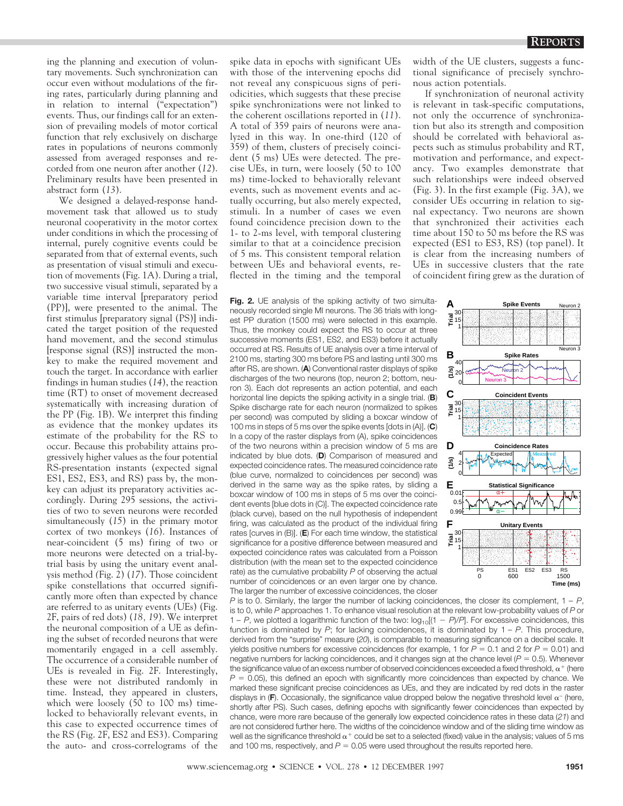ing the planning and execution of voluntary movements. Such synchronization can occur even without modulations of the firing rates, particularly during planning and in relation to internal ("expectation") events. Thus, our findings call for an extension of prevailing models of motor cortical function that rely exclusively on discharge rates in populations of neurons commonly assessed from averaged responses and recorded from one neuron after another (*12*). Preliminary results have been presented in abstract form (*13*).

We designed a delayed-response handmovement task that allowed us to study neuronal cooperativity in the motor cortex under conditions in which the processing of internal, purely cognitive events could be separated from that of external events, such as presentation of visual stimuli and execution of movements (Fig. 1A). During a trial, two successive visual stimuli, separated by a variable time interval [preparatory period (PP)], were presented to the animal. The first stimulus [preparatory signal (PS)] indicated the target position of the requested hand movement, and the second stimulus [response signal (RS)] instructed the monkey to make the required movement and touch the target. In accordance with earlier findings in human studies (*14*), the reaction time (RT) to onset of movement decreased systematically with increasing duration of the PP (Fig. 1B). We interpret this finding as evidence that the monkey updates its estimate of the probability for the RS to occur. Because this probability attains progressively higher values as the four potential RS-presentation instants (expected signal ES1, ES2, ES3, and RS) pass by, the monkey can adjust its preparatory activities accordingly. During 295 sessions, the activities of two to seven neurons were recorded simultaneously (*15*) in the primary motor cortex of two monkeys (*16*). Instances of near-coincident (5 ms) firing of two or more neurons were detected on a trial-bytrial basis by using the unitary event analysis method *(*Fig. 2) (*17*). Those coincident spike constellations that occurred significantly more often than expected by chance are referred to as unitary events *(*UEs) (Fig. 2F, pairs of red dots) (*18, 19*). We interpret the neuronal composition of a UE as defining the subset of recorded neurons that were momentarily engaged in a cell assembly. The occurrence of a considerable number of UEs is revealed in Fig. 2F. Interestingly, these were not distributed randomly in time. Instead, they appeared in clusters, which were loosely  $(50 \text{ to } 100 \text{ ms})$  timelocked to behaviorally relevant events, in this case to expected occurrence times of the RS (Fig. 2F, ES2 and ES3). Comparing the auto- and cross-correlograms of the

spike data in epochs with significant UEs with those of the intervening epochs did not reveal any conspicuous signs of periodicities, which suggests that these precise spike synchronizations were not linked to the coherent oscillations reported in (*11*). A total of 359 pairs of neurons were analyzed in this way. In one-third (120 of 359) of them, clusters of precisely coincident (5 ms) UEs were detected. The precise UEs, in turn, were loosely (50 to 100 ms) time-locked to behaviorally relevant events, such as movement events and actually occurring, but also merely expected, stimuli. In a number of cases we even found coincidence precision down to the 1- to 2-ms level, with temporal clustering similar to that at a coincidence precision of 5 ms. This consistent temporal relation between UEs and behavioral events, reflected in the timing and the temporal

**Fig. 2.** UE analysis of the spiking activity of two simultaneously recorded single MI neurons. The 36 trials with longest PP duration (1500 ms) were selected in this example. Thus, the monkey could expect the RS to occur at three successive moments (ES1, ES2, and ES3) before it actually occurred at RS. Results of UE analysis over a time interval of 2100 ms, starting 300 ms before PS and lasting until 300 ms after RS, are shown. (**A**) Conventional raster displays of spike discharges of the two neurons (top, neuron 2; bottom, neuron 3). Each dot represents an action potential, and each horizontal line depicts the spiking activity in a single trial. (**B**) Spike discharge rate for each neuron (normalized to spikes per second) was computed by sliding a boxcar window of 100 ms in steps of 5 ms over the spike events [dots in (A)]. (**C**) In a copy of the raster displays from (A), spike coincidences of the two neurons within a precision window of 5 ms are indicated by blue dots. (**D**) Comparison of measured and expected coincidence rates. The measured coincidence rate (blue curve, normalized to coincidences per second) was derived in the same way as the spike rates, by sliding a boxcar window of 100 ms in steps of 5 ms over the coincident events [blue dots in (C)]. The expected coincidence rate (black curve), based on the null hypothesis of independent firing, was calculated as the product of the individual firing rates [curves in (B)]. (**E**) For each time window, the statistical significance for a positive difference between measured and expected coincidence rates was calculated from a Poisson distribution (with the mean set to the expected coincidence rate) as the cumulative probability *P* of observing the actual number of coincidences or an even larger one by chance. The larger the number of excessive coincidences, the closer

width of the UE clusters, suggests a functional significance of precisely synchronous action potentials.

If synchronization of neuronal activity is relevant in task-specific computations, not only the occurrence of synchronization but also its strength and composition should be correlated with behavioral aspects such as stimulus probability and RT, motivation and performance, and expectancy. Two examples demonstrate that such relationships were indeed observed (Fig. 3). In the first example (Fig. 3A), we consider UEs occurring in relation to signal expectancy. Two neurons are shown that synchronized their activities each time about 150 to 50 ms before the RS was expected (ES1 to ES3, RS) (top panel). It is clear from the increasing numbers of UEs in successive clusters that the rate of coincident firing grew as the duration of



*P* is to 0. Similarly, the larger the number of lacking coincidences, the closer its complement,  $1 - P$ , is to 0, while *P* approaches 1. To enhance visual resolution at the relevant low-probability values of *P* or 1 – *P*, we plotted a logarithmic function of the two:  $log_{10}[(1 - P)/P]$ . For excessive coincidences, this function is dominated by *P*; for lacking coincidences, it is dominated by 1 – *P*. This procedure, derived from the "surprise" measure (*20*), is comparable to measuring significance on a decibel scale. It yields positive numbers for excessive coincidences (for example, 1 for  $P = 0.1$  and 2 for  $P = 0.01$ ) and negative numbers for lacking coincidences, and it changes sign at the chance level  $(P = 0.5)$ . Whenever the significance value of an excess number of observed coincidences exceeded a fixed threshold,  $\alpha^+$  (here  $P = 0.05$ ), this defined an epoch with significantly more coincidences than expected by chance. We marked these significant precise coincidences as UEs, and they are indicated by red dots in the raster displays in ( $F$ ). Occasionally, the significance value dropped below the negative threshold level  $\alpha^-$  (here, shortly after PS). Such cases, defining epochs with significantly fewer coincidences than expected by chance, were more rare because of the generally low expected coincidence rates in these data (*21*) and are not considered further here. The widths of the coincidence window and of the sliding time window as well as the significance threshold  $\alpha^+$  could be set to a selected (fixed) value in the analysis; values of 5 ms and 100 ms, respectively, and  $P = 0.05$  were used throughout the results reported here.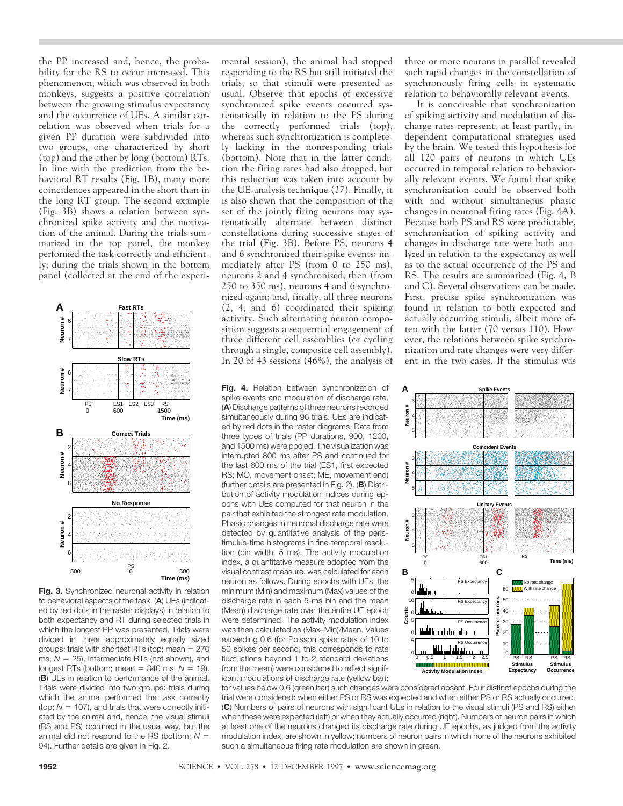the PP increased and, hence, the probability for the RS to occur increased. This phenomenon, which was observed in both monkeys, suggests a positive correlation between the growing stimulus expectancy and the occurrence of UEs. A similar correlation was observed when trials for a given PP duration were subdivided into two groups, one characterized by short (top) and the other by long (bottom) RTs. In line with the prediction from the behavioral RT results (Fig. 1B), many more coincidences appeared in the short than in the long RT group. The second example (Fig. 3B) shows a relation between synchronized spike activity and the motivation of the animal. During the trials summarized in the top panel, the monkey performed the task correctly and efficiently; during the trials shown in the bottom panel (collected at the end of the experi-



**Fig. 3.** Synchronized neuronal activity in relation to behavioral aspects of the task. (**A**) UEs (indicated by red dots in the raster displays) in relation to both expectancy and RT during selected trials in which the longest PP was presented. Trials were divided in three approximately equally sized groups: trials with shortest RTs (top; mean  $= 270$ ms,  $N = 25$ ), intermediate RTs (not shown), and longest RTs (bottom; mean  $= 340$  ms,  $N = 19$ ). (**B**) UEs in relation to performance of the animal. Trials were divided into two groups: trials during which the animal performed the task correctly (top;  $N = 107$ ), and trials that were correctly initiated by the animal and, hence, the visual stimuli (RS and PS) occurred in the usual way, but the animal did not respond to the RS (bottom;  $N =$ 94). Further details are given in Fig. 2.

mental session), the animal had stopped responding to the RS but still initiated the trials, so that stimuli were presented as usual. Observe that epochs of excessive synchronized spike events occurred systematically in relation to the PS during the correctly performed trials (top), whereas such synchronization is completely lacking in the nonresponding trials (bottom). Note that in the latter condition the firing rates had also dropped, but this reduction was taken into account by the UE-analysis technique (*17*). Finally, it is also shown that the composition of the set of the jointly firing neurons may systematically alternate between distinct constellations during successive stages of the trial (Fig. 3B). Before PS, neurons 4 and 6 synchronized their spike events; immediately after PS (from 0 to 250 ms), neurons 2 and 4 synchronized; then (from 250 to 350 ms), neurons 4 and 6 synchronized again; and, finally, all three neurons (2, 4, and 6) coordinated their spiking activity. Such alternating neuron composition suggests a sequential engagement of three different cell assemblies (or cycling through a single, composite cell assembly). In 20 of 43 sessions (46%), the analysis of

**Fig. 4.** Relation between synchronization of spike events and modulation of discharge rate. (**A**) Discharge patterns of three neurons recorded simultaneously during 96 trials. UEs are indicated by red dots in the raster diagrams. Data from three types of trials (PP durations, 900, 1200, and 1500 ms) were pooled. The visualization was interrupted 800 ms after PS and continued for the last 600 ms of the trial (ES1, first expected RS; MO, movement onset; ME, movement end) (further details are presented in Fig. 2). (**B**) Distribution of activity modulation indices during epochs with UEs computed for that neuron in the pair that exhibited the strongest rate modulation. Phasic changes in neuronal discharge rate were detected by quantitative analysis of the peristimulus-time histograms in fine-temporal resolution (bin width, 5 ms). The activity modulation index, a quantitative measure adopted from the visual contrast measure, was calculated for each neuron as follows. During epochs with UEs, the minimum (Min) and maximum (Max) values of the discharge rate in each 5-ms bin and the mean (Mean) discharge rate over the entire UE epoch were determined. The activity modulation index was then calculated as (Max–Min)/Mean. Values exceeding 0.6 (for Poisson spike rates of 10 to 50 spikes per second, this corresponds to rate fluctuations beyond 1 to 2 standard deviations from the mean) were considered to reflect significant modulations of discharge rate (yellow bar); three or more neurons in parallel revealed such rapid changes in the constellation of synchronously firing cells in systematic relation to behaviorally relevant events.

It is conceivable that synchronization of spiking activity and modulation of discharge rates represent, at least partly, independent computational strategies used by the brain. We tested this hypothesis for all 120 pairs of neurons in which UEs occurred in temporal relation to behaviorally relevant events. We found that spike synchronization could be observed both with and without simultaneous phasic changes in neuronal firing rates (Fig. 4A). Because both PS and RS were predictable, synchronization of spiking activity and changes in discharge rate were both analyzed in relation to the expectancy as well as to the actual occurrence of the PS and RS. The results are summarized (Fig. 4, B and C). Several observations can be made. First, precise spike synchronization was found in relation to both expected and actually occurring stimuli, albeit more often with the latter (70 versus 110). However, the relations between spike synchronization and rate changes were very different in the two cases. If the stimulus was



for values below 0.6 (green bar) such changes were considered absent. Four distinct epochs during the trial were considered: when either PS or RS was expected and when either PS or RS actually occurred. (**C**) Numbers of pairs of neurons with significant UEs in relation to the visual stimuli (PS and RS) either when these were expected (left) or when they actually occurred (right). Numbers of neuron pairs in which at least one of the neurons changed its discharge rate during UE epochs, as judged from the activity modulation index, are shown in yellow; numbers of neuron pairs in which none of the neurons exhibited such a simultaneous firing rate modulation are shown in green.